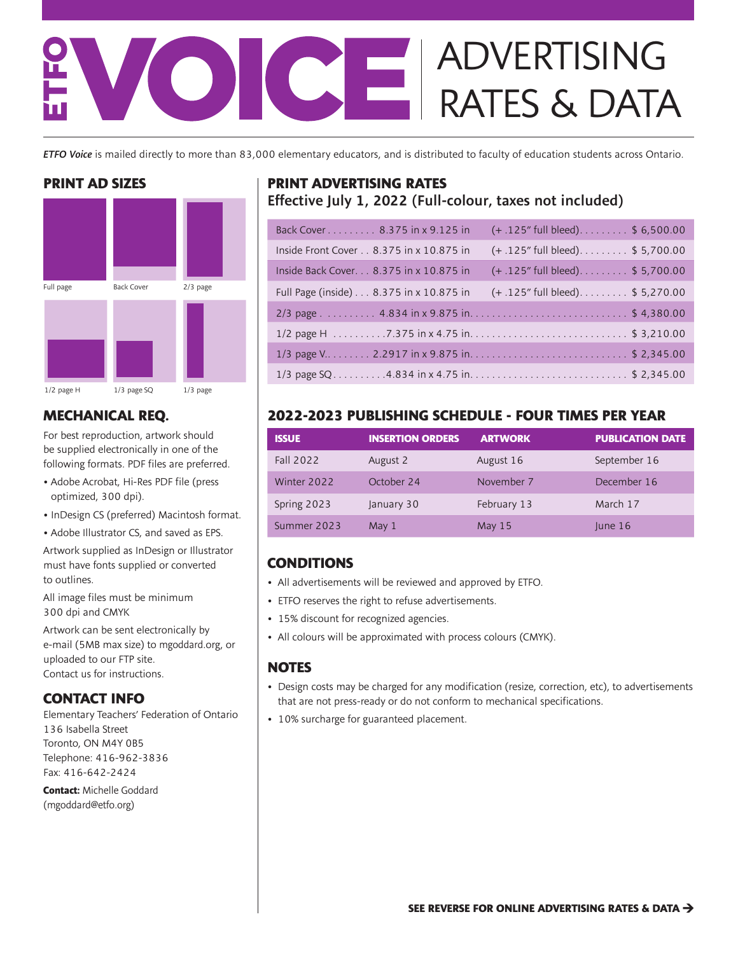# ICE ADVERTISING RATES & DATA

*ETFO Voice* is mailed directly to more than 83,000 elementary educators, and is distributed to faculty of education students across Ontario.

### **PRINT AD SIZES**



## **MECHANICAL REQ.**

For best reproduction, artwork should be supplied electronically in one of the following formats. PDF files are preferred.

- Adobe Acrobat, Hi-Res PDF file (press optimized, 300 dpi).
- InDesign CS (preferred) Macintosh format.
- Adobe Illustrator CS, and saved as EPS.

Artwork supplied as InDesign or Illustrator must have fonts supplied or converted to outlines.

All image files must be minimum 300 dpi and CMYK

Artwork can be sent electronically by e-mail (5MB max size) to mgoddard.org, or uploaded to our FTP site. Contact us for instructions.

### **CONTACT INFO**

Elementary Teachers' Federation of Ontario 136 Isabella Street Toronto, ON M4Y 0B5 Telephone: 416-962-3836 Fax: 416-642-2424

**Contact:** Michelle Goddard (mgoddard@etfo.org)

# **PRINT ADVERTISING RATES**  Effective July 1, 2022 (Full-colour, taxes not included)

| Back Cover 8.375 in x 9.125 in             | $(+.125"$ full bleed)\$ 6,500.00  |
|--------------------------------------------|-----------------------------------|
| Inside Front Cover 8.375 in x 10.875 in    | $(+.125"$ full bleed)\$ 5,700.00  |
| Inside Back Cover. 8.375 in x 10.875 in    | $(+.125"$ full bleed)\$ 5,700.00  |
| Full Page (inside) 8.375 in x 10.875 in    | (+ .125" full bleed). \$ 5,270.00 |
|                                            |                                   |
|                                            |                                   |
| 1/3 page V 2.2917 in x 9.875 in\$ 2,345.00 |                                   |
| 1/3 page SQ4.834 in x 4.75 in\$ 2,345.00   |                                   |

# **2022-2023 PUBLISHING SCHEDULE - FOUR TIMES PER YEAR**

| <b>ISSUE</b> | <b>INSERTION ORDERS</b> | <b>ARTWORK</b> | <b>PUBLICATION DATE</b> |
|--------------|-------------------------|----------------|-------------------------|
| Fall 2022    | August 2                | August 16      | September 16            |
| Winter 2022  | October 24              | November 7     | December 16             |
| Spring 2023  | January 30              | February 13    | March 17                |
| Summer 2023  | May 1                   | May $15$       | lune 16                 |

# **CONDITIONS**

- All advertisements will be reviewed and approved by ETFO.
- ETFO reserves the right to refuse advertisements.
- 15% discount for recognized agencies.
- All colours will be approximated with process colours (CMYK).

### **NOTES**

- Design costs may be charged for any modification (resize, correction, etc), to advertisements that are not press-ready or do not conform to mechanical specifications.
- 10% surcharge for guaranteed placement.